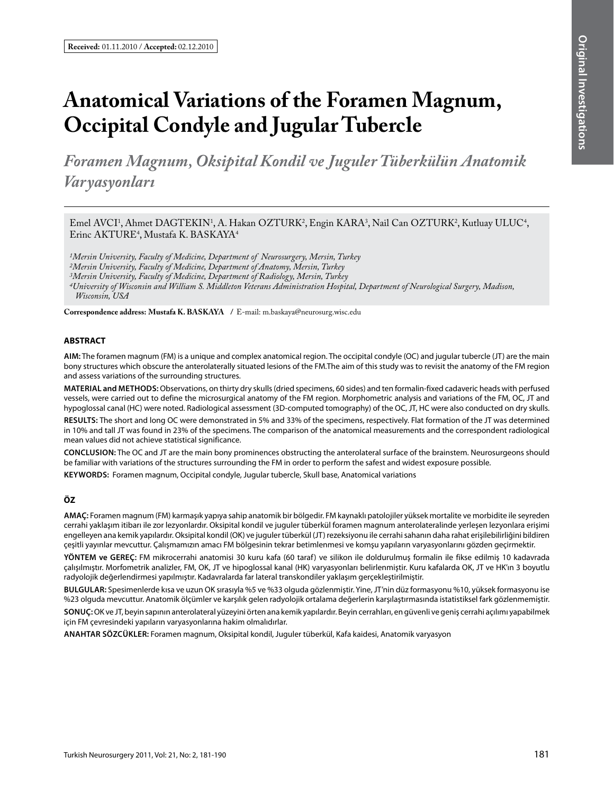# **Anatomical Variations of the Foramen Magnum, Occipital Condyle and Jugular Tubercle**

*Foramen Magnum, Oksipital Kondil ve Juguler Tüberkülün Anatomik Varyasyonları*

Emel AVCI<sup>1</sup>, Ahmet DAGTEKIN<sup>1</sup>, A. Hakan OZTURK<sup>2</sup>, Engin KARA<sup>3</sup>, Nail Can OZTURK<sup>2</sup>, Kutluay ULUC<sup>4</sup>, Erinc AKTURE<sup>4</sup>, Mustafa K. BASKAYA<sup>4</sup>

*1Mersin University, Faculty of Medicine, Department of Neurosurgery, Mersin, Turkey 2Mersin University, Faculty of Medicine, Department of Anatomy, Mersin, Turkey 3Mersin University, Faculty of Medicine, Department of Radiology, Mersin, Turkey*

*4University of Wisconsin and William S. Middleton Veterans Administration Hospital, Department of Neurological Surgery, Madison, Wisconsin, USA*

**Correspondence address: Mustafa K. Baskaya /** E-mail: m.baskaya@neurosurg.wisc.edu

# **ABSTRACT**

**AIm:** The foramen magnum (FM) is a unique and complex anatomical region. The occipital condyle (OC) and jugular tubercle (JT) are the main bony structures which obscure the anterolaterally situated lesions of the FM.The aim of this study was to revisit the anatomy of the FM region and assess variations of the surrounding structures.

**MaterIal and Methods:** Observations, on thirty dry skulls (dried specimens, 60 sides) and ten formalin-fixed cadaveric heads with perfused vessels, were carried out to define the microsurgical anatomy of the FM region. Morphometric analysis and variations of the FM, OC, JT and hypoglossal canal (HC) were noted. Radiological assessment (3D-computed tomography) of the OC, JT, HC were also conducted on dry skulls.

**Results:** The short and long OC were demonstrated in 5% and 33% of the specimens, respectively. Flat formation of the JT was determined in 10% and tall JT was found in 23% of the specimens. The comparison of the anatomical measurements and the correspondent radiological mean values did not achieve statistical significance.

**ConclusIon:** The OC and JT are the main bony prominences obstructing the anterolateral surface of the brainstem. Neurosurgeons should be familiar with variations of the structures surrounding the FM in order to perform the safest and widest exposure possible.

**Keywords:** Foramen magnum, Occipital condyle, Jugular tubercle, Skull base, Anatomical variations

## **ÖZ**

**AMAÇ:** Foramen magnum (FM) karmaşık yapıya sahip anatomik bir bölgedir. FM kaynaklı patolojiler yüksek mortalite ve morbidite ile seyreden cerrahi yaklaşım itibarı ile zor lezyonlardır. Oksipital kondil ve juguler tüberkül foramen magnum anterolateralinde yerleşen lezyonlara erişimi engelleyen ana kemik yapılardır. Oksipital kondil (OK) ve juguler tüberkül (JT) rezeksiyonu ile cerrahi sahanın daha rahat erişilebilirliğini bildiren çeşitli yayınlar mevcuttur. Çalışmamızın amacı FM bölgesinin tekrar betimlenmesi ve komşu yapıların varyasyonlarını gözden geçirmektir.

**YÖNTEM ve GEREÇ:** FM mikrocerrahi anatomisi 30 kuru kafa (60 taraf) ve silikon ile doldurulmuş formalin ile fikse edilmiş 10 kadavrada çalışılmıştır. Morfometrik analizler, FM, OK, JT ve hipoglossal kanal (HK) varyasyonları belirlenmiştir. Kuru kafalarda OK, JT ve HK'ın 3 boyutlu radyolojik değerlendirmesi yapılmıştır. Kadavralarda far lateral transkondiler yaklaşım gerçekleştirilmiştir.

**BULGULAR:** Spesimenlerde kısa ve uzun OK sırasıyla %5 ve %33 olguda gözlenmiştir. Yine, JT'nin düz formasyonu %10, yüksek formasyonu ise %23 olguda mevcuttur. Anatomik ölçümler ve karşılık gelen radyolojik ortalama değerlerin karşılaştırmasında istatistiksel fark gözlenmemiştir.

**SONUÇ:** OK ve JT, beyin sapının anterolateral yüzeyini örten ana kemik yapılardır. Beyin cerrahları, en güvenli ve geniş cerrahi açılımı yapabilmek için FM çevresindeki yapıların varyasyonlarına hakim olmalıdırlar.

**ANAHTAR SÖZCÜKLER:** Foramen magnum, Oksipital kondil, Juguler tüberkül, Kafa kaidesi, Anatomik varyasyon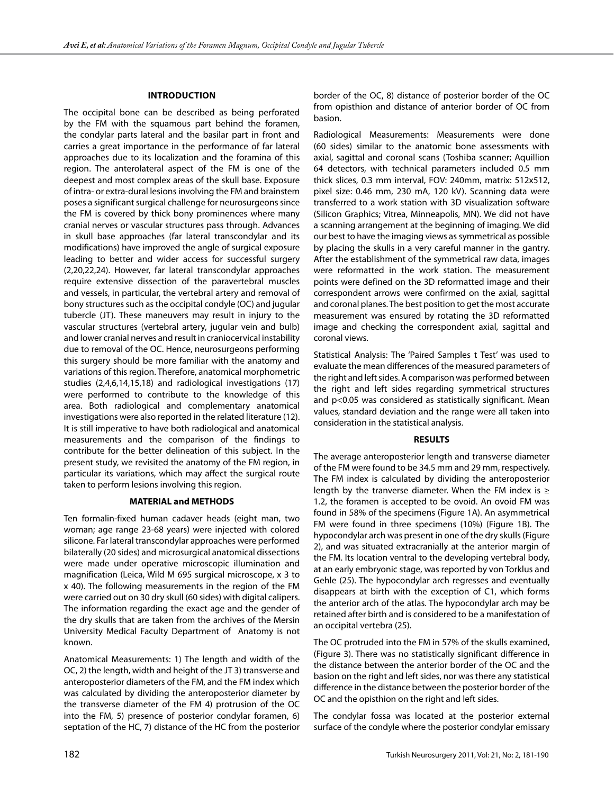# **IntroductIon**

The occipital bone can be described as being perforated by the FM with the squamous part behind the foramen, the condylar parts lateral and the basilar part in front and carries a great importance in the performance of far lateral approaches due to its localization and the foramina of this region. The anterolateral aspect of the FM is one of the deepest and most complex areas of the skull base. Exposure of intra- or extra-dural lesions involving the FM and brainstem poses a significant surgical challenge for neurosurgeons since the FM is covered by thick bony prominences where many cranial nerves or vascular structures pass through. Advances in skull base approaches (far lateral transcondylar and its modifications) have improved the angle of surgical exposure leading to better and wider access for successful surgery (2,20,22,24). However, far lateral transcondylar approaches require extensive dissection of the paravertebral muscles and vessels, in particular, the vertebral artery and removal of bony structures such as the occipital condyle (OC) and jugular tubercle (JT). These maneuvers may result in injury to the vascular structures (vertebral artery, jugular vein and bulb) and lower cranial nerves and result in craniocervical instability due to removal of the OC. Hence, neurosurgeons performing this surgery should be more familiar with the anatomy and variations of this region. Therefore, anatomical morphometric studies (2,4,6,14,15,18) and radiological investigations (17) were performed to contribute to the knowledge of this area. Both radiological and complementary anatomical investigations were also reported in the related literature (12). It is still imperative to have both radiological and anatomical measurements and the comparison of the findings to contribute for the better delineation of this subject. In the present study, we revisited the anatomy of the FM region, in particular its variations, which may affect the surgical route taken to perform lesions involving this region.

#### **MATERIAL and METHODS**

Ten formalin-fixed human cadaver heads (eight man, two woman; age range 23-68 years) were injected with colored silicone. Far lateral transcondylar approaches were performed bilaterally (20 sides) and microsurgical anatomical dissections were made under operative microscopic illumination and magnification (Leica, Wild M 695 surgical microscope, x 3 to x 40). The following measurements in the region of the FM were carried out on 30 dry skull (60 sides) with digital calipers. The information regarding the exact age and the gender of the dry skulls that are taken from the archives of the Mersin University Medical Faculty Department of Anatomy is not known.

Anatomical Measurements: 1) The length and width of the OC, 2) the length, width and height of the JT 3) transverse and anteroposterior diameters of the FM, and the FM index which was calculated by dividing the anteroposterior diameter by the transverse diameter of the FM 4) protrusion of the OC into the FM, 5) presence of posterior condylar foramen, 6) septation of the HC, 7) distance of the HC from the posterior border of the OC, 8) distance of posterior border of the OC from opisthion and distance of anterior border of OC from basion.

Radiological Measurements: Measurements were done (60 sides) similar to the anatomic bone assessments with axial, sagittal and coronal scans (Toshiba scanner; Aquillion 64 detectors, with technical parameters included 0.5 mm thick slices, 0.3 mm interval, FOV: 240mm, matrix: 512x512, pixel size: 0.46 mm, 230 mA, 120 kV). Scanning data were transferred to a work station with 3D visualization software (Silicon Graphics; Vitrea, Minneapolis, MN). We did not have a scanning arrangement at the beginning of imaging. We did our best to have the imaging views as symmetrical as possible by placing the skulls in a very careful manner in the gantry. After the establishment of the symmetrical raw data, images were reformatted in the work station. The measurement points were defined on the 3D reformatted image and their correspondent arrows were confirmed on the axial, sagittal and coronal planes. The best position to get the most accurate measurement was ensured by rotating the 3D reformatted image and checking the correspondent axial, sagittal and coronal views.

Statistical Analysis: The 'Paired Samples t Test' was used to evaluate the mean differences of the measured parameters of the right and left sides. A comparison was performed between the right and left sides regarding symmetrical structures and p<0.05 was considered as statistically significant. Mean values, standard deviation and the range were all taken into consideration in the statistical analysis.

#### **RESULTS**

The average anteroposterior length and transverse diameter of the FM were found to be 34.5 mm and 29 mm, respectively. The FM index is calculated by dividing the anteroposterior length by the tranverse diameter. When the FM index is  $\geq$ 1.2, the foramen is accepted to be ovoid. An ovoid FM was found in 58% of the specimens (Figure 1A). An asymmetrical FM were found in three specimens (10%) (Figure 1B). The hypocondylar arch was present in one of the dry skulls (Figure 2), and was situated extracranially at the anterior margin of the FM. Its location ventral to the developing vertebral body, at an early embryonic stage, was reported by von Torklus and Gehle (25). The hypocondylar arch regresses and eventually disappears at birth with the exception of C1, which forms the anterior arch of the atlas. The hypocondylar arch may be retained after birth and is considered to be a manifestation of an occipital vertebra (25).

The OC protruded into the FM in 57% of the skulls examined, (Figure 3). There was no statistically significant difference in the distance between the anterior border of the OC and the basion on the right and left sides, nor was there any statistical difference in the distance between the posterior border of the OC and the opisthion on the right and left sides.

The condylar fossa was located at the posterior external surface of the condyle where the posterior condylar emissary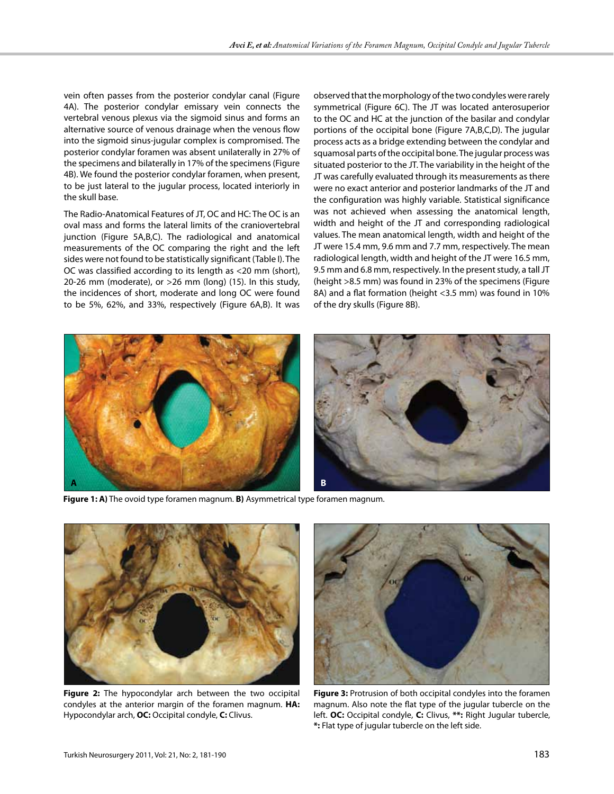vein often passes from the posterior condylar canal (Figure 4A). The posterior condylar emissary vein connects the vertebral venous plexus via the sigmoid sinus and forms an alternative source of venous drainage when the venous flow into the sigmoid sinus-jugular complex is compromised. The posterior condylar foramen was absent unilaterally in 27% of the specimens and bilaterally in 17% of the specimens (Figure 4B). We found the posterior condylar foramen, when present, to be just lateral to the jugular process, located interiorly in the skull base.

The Radio-Anatomical Features of JT, OC and HC: The OC is an oval mass and forms the lateral limits of the craniovertebral junction (Figure 5A,B,C). The radiological and anatomical measurements of the OC comparing the right and the left sides were not found to be statistically significant (Table I). The OC was classified according to its length as <20 mm (short), 20-26 mm (moderate), or >26 mm (long) (15). In this study, the incidences of short, moderate and long OC were found to be 5%, 62%, and 33%, respectively (Figure 6A,B). It was

observed that the morphology of the two condyles were rarely symmetrical (Figure 6C). The JT was located anterosuperior to the OC and HC at the junction of the basilar and condylar portions of the occipital bone (Figure 7A,B,C,D). The jugular process acts as a bridge extending between the condylar and squamosal parts of the occipital bone. The jugular process was situated posterior to the JT. The variability in the height of the JT was carefully evaluated through its measurements as there were no exact anterior and posterior landmarks of the JT and the configuration was highly variable. Statistical significance was not achieved when assessing the anatomical length, width and height of the JT and corresponding radiological values. The mean anatomical length, width and height of the JT were 15.4 mm, 9.6 mm and 7.7 mm, respectively. The mean radiological length, width and height of the JT were 16.5 mm, 9.5 mm and 6.8 mm, respectively. In the present study, a tall JT (height >8.5 mm) was found in 23% of the specimens (Figure 8A) and a flat formation (height <3.5 mm) was found in 10% of the dry skulls (Figure 8B).



**Figure 1: A)** The ovoid type foramen magnum. **B)** Asymmetrical type foramen magnum.



**Figure 2:** The hypocondylar arch between the two occipital condyles at the anterior margin of the foramen magnum. **HA:** Hypocondylar arch, **OC:** Occipital condyle, **C:** Clivus.



**Figure 3:** Protrusion of both occipital condyles into the foramen magnum. Also note the flat type of the jugular tubercle on the left. **OC:** Occipital condyle, **C:** Clivus, **\*\*:** Right Jugular tubercle, **\*:** Flat type of jugular tubercle on the left side.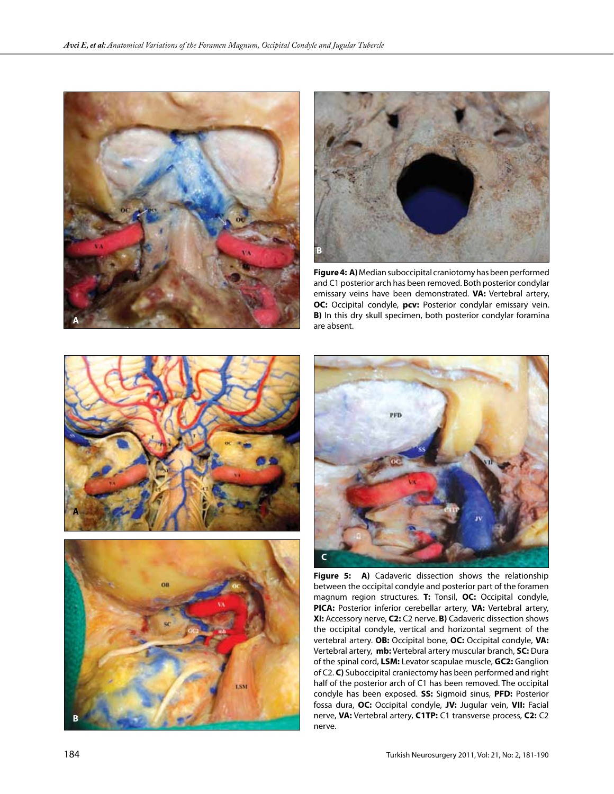



**Figure 4: A)** Median suboccipital craniotomy has been performed and C1 posterior arch has been removed. Both posterior condylar emissary veins have been demonstrated. **VA:** Vertebral artery, **OC:** Occipital condyle, **pcv:** Posterior condylar emissary vein. **B)** In this dry skull specimen, both posterior condylar foramina are absent.







Figure 5: A) Cadaveric dissection shows the relationship between the occipital condyle and posterior part of the foramen magnum region structures. **T:** Tonsil, **OC:** Occipital condyle, **PICA:** Posterior inferior cerebellar artery, **VA:** Vertebral artery, **XI:** Accessory nerve, **C2:** C2 nerve. **B)** Cadaveric dissection shows the occipital condyle, vertical and horizontal segment of the vertebral artery. **OB:** Occipital bone, **OC:** Occipital condyle, **VA:** Vertebral artery, **mb:** Vertebral artery muscular branch, **SC:** Dura of the spinal cord, **LSM:** Levator scapulae muscle, **GC2:** Ganglion of C2. **C)** Suboccipital craniectomy has been performed and right half of the posterior arch of C1 has been removed. The occipital condyle has been exposed. **SS:** Sigmoid sinus, **PFD:** Posterior fossa dura, **OC:** Occipital condyle, **JV:** Jugular vein, **VII:** Facial nerve, **VA:** Vertebral artery, **C1TP:** C1 transverse process, **C2:** C2 nerve.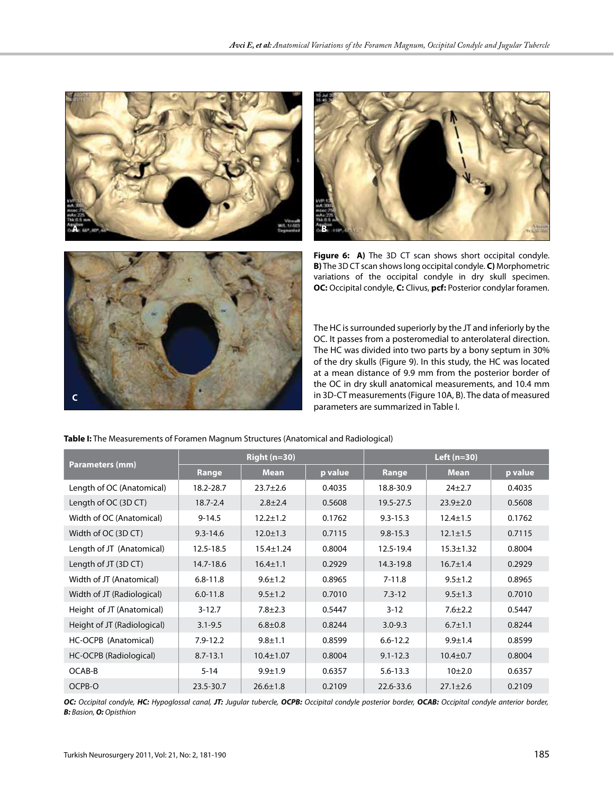





Figure 6: A) The 3D CT scan shows short occipital condyle. **B)** The 3D CT scan shows long occipital condyle. **C)** Morphometric variations of the occipital condyle in dry skull specimen. **OC:** Occipital condyle, **C:** Clivus, **pcf:** Posterior condylar foramen.

The HC is surrounded superiorly by the JT and inferiorly by the OC. It passes from a posteromedial to anterolateral direction. The HC was divided into two parts by a bony septum in 30% of the dry skulls (Figure 9). In this study, the HC was located at a mean distance of 9.9 mm from the posterior border of the OC in dry skull anatomical measurements, and 10.4 mm in 3D-CT measurements (Figure 10A, B). The data of measured parameters are summarized in Table I.

**Table I:** The Measurements of Foramen Magnum Structures (Anatomical and Radiological)

| <b>Parameters (mm)</b>      | <b>Right (n=30)</b> |                 |         | Left $(n=30)$ |                 |         |
|-----------------------------|---------------------|-----------------|---------|---------------|-----------------|---------|
|                             | Range               | <b>Mean</b>     | p value | Range         | <b>Mean</b>     | p value |
| Length of OC (Anatomical)   | 18.2-28.7           | $23.7 \pm 2.6$  | 0.4035  | 18.8-30.9     | $24 + 2.7$      | 0.4035  |
| Length of OC (3D CT)        | $18.7 - 2.4$        | $2.8 \pm 2.4$   | 0.5608  | 19.5-27.5     | $23.9 \pm 2.0$  | 0.5608  |
| Width of OC (Anatomical)    | $9 - 14.5$          | $12.2 \pm 1.2$  | 0.1762  | $9.3 - 15.3$  | $12.4 \pm 1.5$  | 0.1762  |
| Width of OC (3D CT)         | $9.3 - 14.6$        | $12.0 \pm 1.3$  | 0.7115  | $9.8 - 15.3$  | $12.1 \pm 1.5$  | 0.7115  |
| Length of JT (Anatomical)   | 12.5-18.5           | $15.4 \pm 1.24$ | 0.8004  | 12.5-19.4     | $15.3 \pm 1.32$ | 0.8004  |
| Length of JT (3D CT)        | 14.7-18.6           | $16.4 \pm 1.1$  | 0.2929  | 14.3-19.8     | $16.7 \pm 1.4$  | 0.2929  |
| Width of JT (Anatomical)    | $6.8 - 11.8$        | $9.6 \pm 1.2$   | 0.8965  | $7 - 11.8$    | $9.5 \pm 1.2$   | 0.8965  |
| Width of JT (Radiological)  | $6.0 - 11.8$        | $9.5 \pm 1.2$   | 0.7010  | $7.3 - 12$    | $9.5 \pm 1.3$   | 0.7010  |
| Height of JT (Anatomical)   | $3 - 12.7$          | $7.8 \pm 2.3$   | 0.5447  | $3 - 12$      | $7.6 \pm 2.2$   | 0.5447  |
| Height of JT (Radiological) | $3.1 - 9.5$         | $6.8 + 0.8$     | 0.8244  | $3.0 - 9.3$   | $6.7 \pm 1.1$   | 0.8244  |
| HC-OCPB (Anatomical)        | $7.9 - 12.2$        | $9.8 \pm 1.1$   | 0.8599  | $6.6 - 12.2$  | $9.9 \pm 1.4$   | 0.8599  |
| HC-OCPB (Radiological)      | $8.7 - 13.1$        | $10.4 \pm 1.07$ | 0.8004  | $9.1 - 12.3$  | $10.4 \pm 0.7$  | 0.8004  |
| OCAB-B                      | $5 - 14$            | $9.9 \pm 1.9$   | 0.6357  | $5.6 - 13.3$  | 10±2.0          | 0.6357  |
| OCPB-O                      | 23.5-30.7           | $26.6 \pm 1.8$  | 0.2109  | 22.6-33.6     | $27.1 \pm 2.6$  | 0.2109  |

*OC: Occipital condyle, HC: Hypoglossal canal, JT: Jugular tubercle, OCPB: Occipital condyle posterior border, OCAB: Occipital condyle anterior border, B: Basion, O: Opisthion*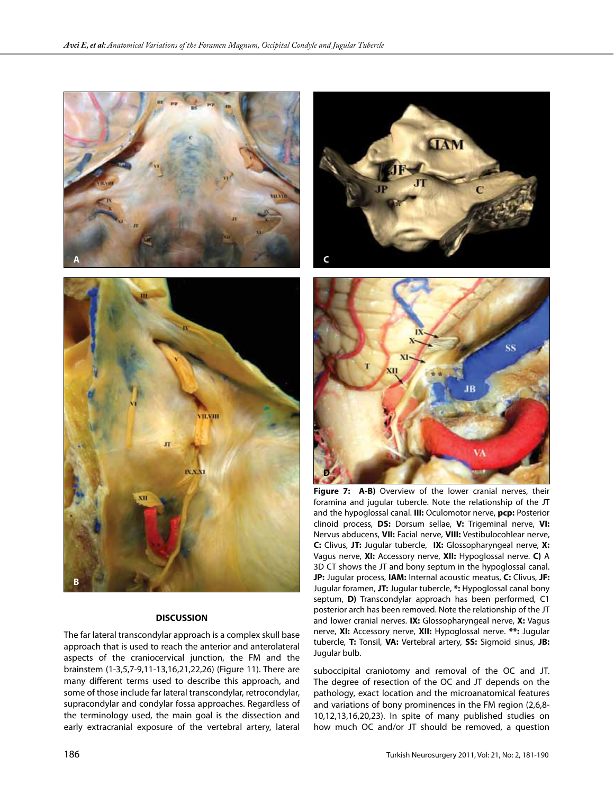



# **DISCUSSION**

The far lateral transcondylar approach is a complex skull base approach that is used to reach the anterior and anterolateral aspects of the craniocervical junction, the FM and the brainstem (1-3,5,7-9,11-13,16,21,22,26) (Figure 11). There are many different terms used to describe this approach, and some of those include far lateral transcondylar, retrocondylar, supracondylar and condylar fossa approaches. Regardless of the terminology used, the main goal is the dissection and early extracranial exposure of the vertebral artery, lateral





Figure 7: A-B) Overview of the lower cranial nerves, their foramina and jugular tubercle. Note the relationship of the JT and the hypoglossal canal. **III:** Oculomotor nerve, **pcp:** Posterior clinoid process, **DS:** Dorsum sellae, **V:** Trigeminal nerve, **VI:** Nervus abducens, **VII:** Facial nerve, **VIII:** Vestibulocohlear nerve, **C:** Clivus, **JT:** Jugular tubercle, **IX:** Glossopharyngeal nerve, **X:** Vagus nerve, **XI:** Accessory nerve, **XII:** Hypoglossal nerve. **C)** A 3D CT shows the JT and bony septum in the hypoglossal canal. **JP:** Jugular process, **IAM:** Internal acoustic meatus, **C:** Clivus, **JF:** Jugular foramen, **JT:** Jugular tubercle, **\*:** Hypoglossal canal bony septum, **D)** Transcondylar approach has been performed, C1 posterior arch has been removed. Note the relationship of the JT and lower cranial nerves. **IX:** Glossopharyngeal nerve, **X:** Vagus nerve, **XI:** Accessory nerve, **XII:** Hypoglossal nerve. **\*\*:** Jugular tubercle, **T:** Tonsil, **VA:** Vertebral artery, **SS:** Sigmoid sinus, **JB:** Jugular bulb.

suboccipital craniotomy and removal of the OC and JT. The degree of resection of the OC and JT depends on the pathology, exact location and the microanatomical features and variations of bony prominences in the FM region (2,6,8- 10,12,13,16,20,23). In spite of many published studies on how much OC and/or JT should be removed, a question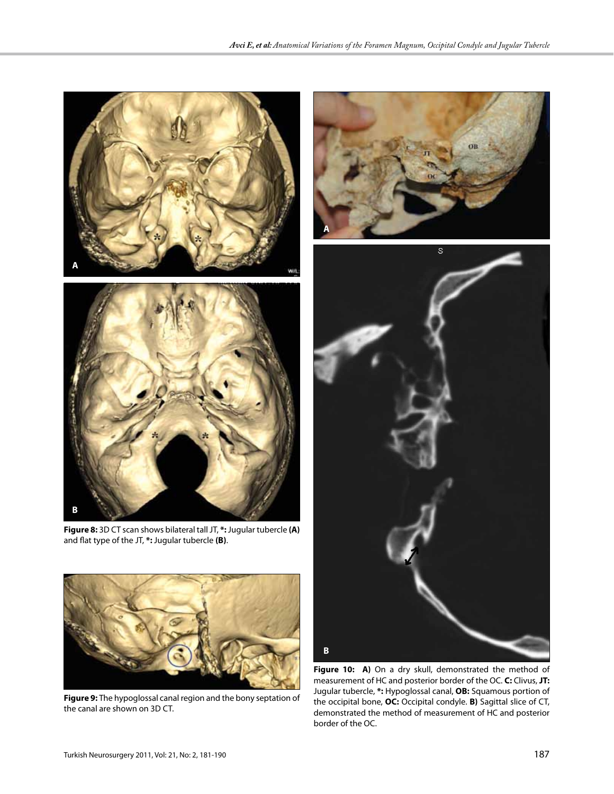

**B**



**Figure 9:** The hypoglossal canal region and the bony septation of the canal are shown on 3D CT.

**Figure 10: A)** On a dry skull, demonstrated the method of measurement of HC and posterior border of the OC. **C:** Clivus, **JT:** Jugular tubercle, **\*:** Hypoglossal canal, **OB:** Squamous portion of the occipital bone, **OC:** Occipital condyle. **B)** Sagittal slice of CT, demonstrated the method of measurement of HC and posterior border of the OC.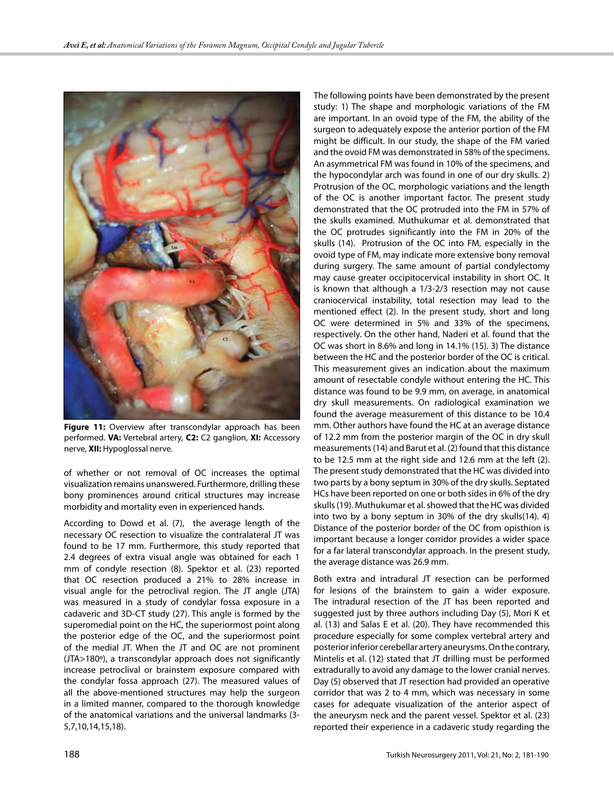

**Figure 11:** Overview after transcondylar approach has been performed. **VA:** Vertebral artery, **C2:** C2 ganglion, **XI:** Accessory nerve, **XII:** Hypoglossal nerve.

of whether or not removal of OC increases the optimal visualization remains unanswered. Furthermore, drilling these bony prominences around critical structures may increase morbidity and mortality even in experienced hands.

According to Dowd et al. (7), the average length of the necessary OC resection to visualize the contralateral JT was found to be 17 mm. Furthermore, this study reported that 2.4 degrees of extra visual angle was obtained for each 1 mm of condyle resection (8). Spektor et al. (23) reported that OC resection produced a 21% to 28% increase in visual angle for the petroclival region. The JT angle (JTA) was measured in a study of condylar fossa exposure in a cadaveric and 3D-CT study (27). This angle is formed by the superomedial point on the HC, the superiormost point along the posterior edge of the OC, and the superiormost point of the medial JT. When the JT and OC are not prominent (JTA>180º), a transcondylar approach does not significantly increase petroclival or brainstem exposure compared with the condylar fossa approach (27). The measured values of all the above-mentioned structures may help the surgeon in a limited manner, compared to the thorough knowledge of the anatomical variations and the universal landmarks (3- 5,7,10,14,15,18).

The following points have been demonstrated by the present study: 1) The shape and morphologic variations of the FM are important. In an ovoid type of the FM, the ability of the surgeon to adequately expose the anterior portion of the FM might be difficult. In our study, the shape of the FM varied and the ovoid FM was demonstrated in 58% of the specimens. An asymmetrical FM was found in 10% of the specimens, and the hypocondylar arch was found in one of our dry skulls. 2) Protrusion of the OC, morphologic variations and the length of the OC is another important factor. The present study demonstrated that the OC protruded into the FM in 57% of the skulls examined. Muthukumar et al. demonstrated that the OC protrudes significantly into the FM in 20% of the skulls (14). Protrusion of the OC into FM, especially in the ovoid type of FM, may indicate more extensive bony removal during surgery. The same amount of partial condylectomy may cause greater occipitocervical instability in short OC. It is known that although a 1/3-2/3 resection may not cause craniocervical instability, total resection may lead to the mentioned effect (2). In the present study, short and long OC were determined in 5% and 33% of the specimens, respectively. On the other hand, Naderi et al. found that the OC was short in 8.6% and long in 14.1% (15). 3) The distance between the HC and the posterior border of the OC is critical. This measurement gives an indication about the maximum amount of resectable condyle without entering the HC. This distance was found to be 9.9 mm, on average, in anatomical dry skull measurements. On radiological examination we found the average measurement of this distance to be 10.4 mm. Other authors have found the HC at an average distance of 12.2 mm from the posterior margin of the OC in dry skull measurements (14) and Barut et al. (2) found that this distance to be 12.5 mm at the right side and 12.6 mm at the left (2). The present study demonstrated that the HC was divided into two parts by a bony septum in 30% of the dry skulls. Septated HCs have been reported on one or both sides in 6% of the dry skulls (19). Muthukumar et al. showed that the HC was divided into two by a bony septum in 30% of the dry skulls(14). 4) Distance of the posterior border of the OC from opisthion is important because a longer corridor provides a wider space for a far lateral transcondylar approach. In the present study, the average distance was 26.9 mm.

Both extra and intradural JT resection can be performed for lesions of the brainstem to gain a wider exposure. The intradural resection of the JT has been reported and suggested just by three authors including Day (5), Mori K et al. (13) and Salas E et al. (20). They have recommended this procedure especially for some complex vertebral artery and posterior inferior cerebellar artery aneurysms. On the contrary, Mintelis et al. (12) stated that JT drilling must be performed extradurally to avoid any damage to the lower cranial nerves. Day (5) observed that JT resection had provided an operative corridor that was 2 to 4 mm, which was necessary in some cases for adequate visualization of the anterior aspect of the aneurysm neck and the parent vessel. Spektor et al. (23) reported their experience in a cadaveric study regarding the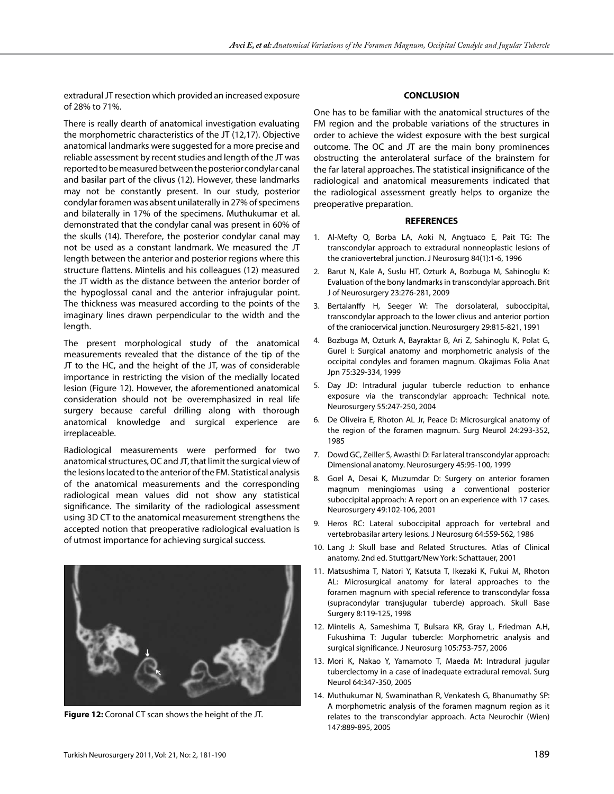extradural JT resection which provided an increased exposure of 28% to 71%.

There is really dearth of anatomical investigation evaluating the morphometric characteristics of the JT (12,17). Objective anatomical landmarks were suggested for a more precise and reliable assessment by recent studies and length of the JT was reported to be measured between the posterior condylar canal and basilar part of the clivus (12). However, these landmarks may not be constantly present. In our study, posterior condylar foramen was absent unilaterally in 27% of specimens and bilaterally in 17% of the specimens. Muthukumar et al. demonstrated that the condylar canal was present in 60% of the skulls (14). Therefore, the posterior condylar canal may not be used as a constant landmark. We measured the JT length between the anterior and posterior regions where this structure flattens. Mintelis and his colleagues (12) measured the JT width as the distance between the anterior border of the hypoglossal canal and the anterior infrajugular point. The thickness was measured according to the points of the imaginary lines drawn perpendicular to the width and the length.

The present morphological study of the anatomical measurements revealed that the distance of the tip of the JT to the HC, and the height of the JT, was of considerable importance in restricting the vision of the medially located lesion (Figure 12). However, the aforementioned anatomical consideration should not be overemphasized in real life surgery because careful drilling along with thorough anatomical knowledge and surgical experience are irreplaceable.

Radiological measurements were performed for two anatomical structures, OC and JT, that limit the surgical view of the lesions located to the anterior of the FM. Statistical analysis of the anatomical measurements and the corresponding radiological mean values did not show any statistical significance. The similarity of the radiological assessment using 3D CT to the anatomical measurement strengthens the accepted notion that preoperative radiological evaluation is of utmost importance for achieving surgical success.



**Figure 12:** Coronal CT scan shows the height of the JT.

# **CONCLUSION**

One has to be familiar with the anatomical structures of the FM region and the probable variations of the structures in order to achieve the widest exposure with the best surgical outcome. The OC and JT are the main bony prominences obstructing the anterolateral surface of the brainstem for the far lateral approaches. The statistical insignificance of the radiological and anatomical measurements indicated that the radiological assessment greatly helps to organize the preoperative preparation.

#### **REFERENCES**

- 1. Al-Mefty O, Borba LA, Aoki N, Angtuaco E, Pait TG: The transcondylar approach to extradural nonneoplastic lesions of the craniovertebral junction. J Neurosurg 84(1):1-6, 1996
- 2. Barut N, Kale A, Suslu HT, Ozturk A, Bozbuga M, Sahinoglu K: Evaluation of the bony landmarks in transcondylar approach. Brit J of Neurosurgery 23:276-281, 2009
- 3. Bertalanffy H, Seeger W: The dorsolateral, suboccipital, transcondylar approach to the lower clivus and anterior portion of the craniocervical junction. Neurosurgery 29:815-821, 1991
- 4. Bozbuga M, Ozturk A, Bayraktar B, Ari Z, Sahinoglu K, Polat G, Gurel I: Surgical anatomy and morphometric analysis of the occipital condyles and foramen magnum. Okajimas Folia Anat Jpn 75:329-334, 1999
- 5. Day JD: Intradural jugular tubercle reduction to enhance exposure via the transcondylar approach: Technical note. Neurosurgery 55:247-250, 2004
- 6. De Oliveira E, Rhoton AL Jr, Peace D: Microsurgical anatomy of the region of the foramen magnum. Surg Neurol 24:293-352, 1985
- 7. Dowd GC, Zeiller S, Awasthi D: Far lateral transcondylar approach: Dimensional anatomy. Neurosurgery 45:95-100, 1999
- 8. Goel A, Desai K, Muzumdar D: Surgery on anterior foramen magnum meningiomas using a conventional posterior suboccipital approach: A report on an experience with 17 cases. Neurosurgery 49:102-106, 2001
- 9. Heros RC: Lateral suboccipital approach for vertebral and vertebrobasilar artery lesions. J Neurosurg 64:559-562, 1986
- 10. Lang J: Skull base and Related Structures. Atlas of Clinical anatomy. 2nd ed. Stuttgart/New York: Schattauer, 2001
- 11. Matsushima T, Natori Y, Katsuta T, Ikezaki K, Fukui M, Rhoton AL: Microsurgical anatomy for lateral approaches to the foramen magnum with special reference to transcondylar fossa (supracondylar transjugular tubercle) approach. Skull Base Surgery 8:119-125, 1998
- 12. Mintelis A, Sameshima T, Bulsara KR, Gray L, Friedman A.H, Fukushima T: Jugular tubercle: Morphometric analysis and surgical significance. J Neurosurg 105:753-757, 2006
- 13. Mori K, Nakao Y, Yamamoto T, Maeda M: Intradural jugular tuberclectomy in a case of inadequate extradural removal. Surg Neurol 64:347-350, 2005
- 14. Muthukumar N, Swaminathan R, Venkatesh G, Bhanumathy SP: A morphometric analysis of the foramen magnum region as it relates to the transcondylar approach. Acta Neurochir (Wien) 147:889-895, 2005